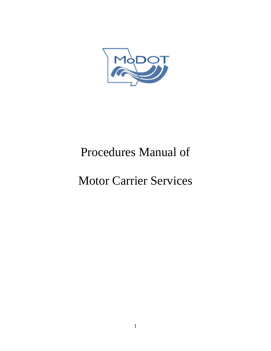

# Procedures Manual of

# Motor Carrier Services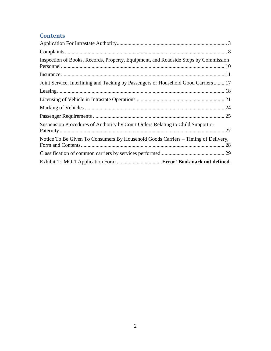# **Contents**

| Inspection of Books, Records, Property, Equipment, and Roadside Stops by Commission |  |
|-------------------------------------------------------------------------------------|--|
|                                                                                     |  |
| Joint Service, Interlining and Tacking by Passengers or Household Good Carriers 17  |  |
|                                                                                     |  |
|                                                                                     |  |
|                                                                                     |  |
|                                                                                     |  |
| Suspension Procedures of Authority by Court Orders Relating to Child Support or     |  |
| Notice To Be Given To Consumers By Household Goods Carriers – Timing of Delivery,   |  |
|                                                                                     |  |
|                                                                                     |  |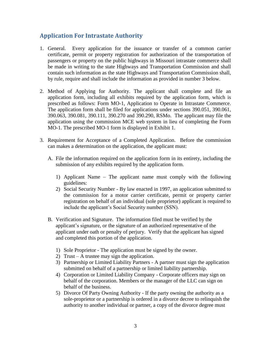## <span id="page-2-0"></span>**Application For Intrastate Authority**

- 1. General. Every application for the issuance or transfer of a common carrier certificate, permit or property registration for authorization of the transportation of passengers or property on the public highways in Missouri intrastate commerce shall be made in writing to the state Highways and Transportation Commission and shall contain such information as the state Highways and Transportation Commission shall, by rule, require and shall include the information as provided in number 3 below.
- 2. Method of Applying for Authority. The applicant shall complete and file an application form, including all exhibits required by the application form, which is prescribed as follows: Form MO-1, Application to Operate in Intrastate Commerce. The application form shall be filed for applications under sections 390.051, 390.061, 390.063, 390.081, 390.111, 390.270 and 390.290, RSMo. The applicant may file the application using the commission MCE web system in lieu of completing the Form MO-1. The prescribed MO-1 form is displayed in Exhibit 1.
- 3. Requirement for Acceptance of a Completed Application. Before the commission can makes a determination on the application, the applicant must:
	- A. File the information required on the application form in its entirety, including the submission of any exhibits required by the application form.
		- 1) Applicant Name The applicant name must comply with the following guidelines:
		- 2) Social Security Number By law enacted in 1997, an application submitted to the commission for a motor carrier certificate, permit or property carrier registration on behalf of an individual (sole proprietor) applicant is required to include the applicant's Social Security number (SSN).
	- B. Verification and Signature. The information filed must be verified by the applicant's signature, or the signature of an authorized representative of the applicant under oath or penalty of perjury. Verify that the applicant has signed and completed this portion of the application.
		- 1) Sole Proprietor The application must be signed by the owner.
		- 2) Trust A trustee may sign the application.
		- 3) Partnership or Limited Liability Partners A partner must sign the application submitted on behalf of a partnership or limited liability partnership.
		- 4) Corporation or Limited Liability Company Corporate officers may sign on behalf of the corporation. Members or the manager of the LLC can sign on behalf of the business.
		- 5) Divorce Of Party Owning Authority If the party owning the authority as a sole-proprietor or a partnership is ordered in a divorce decree to relinquish the authority to another individual or partner, a copy of the divorce degree must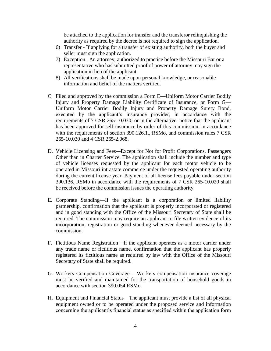be attached to the application for transfer and the transferor relinquishing the authority as required by the decree is not required to sign the application.

- 6) Transfer If applying for a transfer of existing authority, both the buyer and seller must sign the application.
- 7) Exception. An attorney, authorized to practice before the Missouri Bar or a representative who has submitted proof of power of attorney may sign the application in lieu of the applicant.
- 8) All verifications shall be made upon personal knowledge, or reasonable information and belief of the matters verified.
- C. Filed and approved by the commission a Form E—Uniform Motor Carrier Bodily Injury and Property Damage Liability Certificate of Insurance, or Form G— Uniform Motor Carrier Bodily Injury and Property Damage Surety Bond, executed by the applicant's insurance provider, in accordance with the requirements of 7 CSR 265-10.030; or in the alternative, notice that the applicant has been approved for self-insurance by order of this commission, in accordance with the requirements of section 390.126.1., RSMo, and commission rules 7 CSR 265-10.030 and 4 CSR 265-2.068.
- D. Vehicle Licensing and Fees*—*Except for Not for Profit Corporations, Passengers Other than in Charter Service. The application shall include the number and type of vehicle licenses requested by the applicant for each motor vehicle to be operated in Missouri intrastate commerce under the requested operating authority during the current license year. Payment of all license fees payable under section 390.136, RSMo in accordance with the requirements of 7 CSR 265-10.020 shall be received before the commission issues the operating authority.
- E. Corporate Standing—If the applicant is a corporation or limited liability partnership, confirmation that the applicant is properly incorporated or registered and in good standing with the Office of the Missouri Secretary of State shall be required. The commission may require an applicant to file written evidence of its incorporation, registration or good standing whenever deemed necessary by the commission.
- F. Fictitious Name Registration—If the applicant operates as a motor carrier under any trade name or fictitious name, confirmation that the applicant has properly registered its fictitious name as required by law with the Office of the Missouri Secretary of State shall be required.
- G. Workers Compensation Coverage Workers compensation insurance coverage must be verified and maintained for the transportation of household goods in accordance with section 390.054 RSMo.
- H. Equipment and Financial Status—The applicant must provide a list of all physical equipment owned or to be operated under the proposed service and information concerning the applicant's financial status as specified within the application form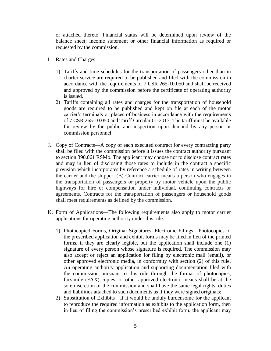or attached thereto. Financial status will be determined upon review of the balance sheet; income statement or other financial information as required or requested by the commission.

- I. Rates and Charges—
	- 1) Tariffs and time schedules for the transportation of passengers other than in charter service are required to be published and filed with the commission in accordance with the requirements of 7 CSR 265-10.050 and shall be received and approved by the commission before the certificate of operating authority is issued.
	- 2) Tariffs containing all rates and charges for the transportation of household goods are required to be published and kept on file at each of the motor carrier's terminals or places of business in accordance with the requirements of 7 CSR 265-10.050 and Tariff Circular 01-2013. The tariff must be available for review by the public and inspection upon demand by any person or commission personnel.
- J. Copy of Contracts—A copy of each executed contract for every contracting party shall be filed with the commission before it issues the contract authority pursuant to section 390.061 RSMo. The applicant may choose not to disclose contract rates and may in lieu of disclosing those rates to include in the contract a specific provision which incorporates by reference a schedule of rates in writing between the carrier and the shipper. (B) Contract carrier means a person who engages in the transportation of passengers or property by motor vehicle upon the public highways for hire or compensation under individual, continuing contracts or agreements. Contracts for the transportation of passengers or household goods shall meet requirements as defined by the commission.
- K. Form of Applications—The following requirements also apply to motor carrier applications for operating authority under this rule:
	- 1) Photocopied Forms, Original Signatures, Electronic Filings—Photocopies of the prescribed application and exhibit forms may be filed in lieu of the printed forms, if they are clearly legible, but the application shall include one (1) signature of every person whose signature is required. The commission may also accept or reject an application for filing by electronic mail (email), or other approved electronic media, in conformity with section (2) of this rule. An operating authority application and supporting documentation filed with the commission pursuant to this rule through the format of photocopies, facsimile (FAX) copies, or other approved electronic means shall be at the sole discretion of the commission and shall have the same legal rights, duties and liabilities attached to such documents as if they were signed originals;
	- 2) Substitution of Exhibits—If it would be unduly burdensome for the applicant to reproduce the required information as exhibits to the application form, then in lieu of filing the commission's prescribed exhibit form, the applicant may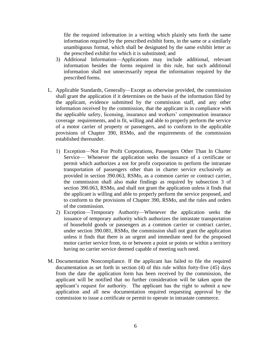file the required information in a writing which plainly sets forth the same information required by the prescribed exhibit form, in the same or a similarly unambiguous format, which shall be designated by the same exhibit letter as the prescribed exhibit for which it is substituted; and

- 3) Additional Information—Applications may include additional, relevant information besides the forms required in this rule, but such additional information shall not unnecessarily repeat the information required by the prescribed forms.
- L. Applicable Standards, Generally—Except as otherwise provided, the commission shall grant the application if it determines on the basis of the information filed by the applicant, evidence submitted by the commission staff, and any other information received by the commission, that the applicant is in compliance with the applicable safety, licensing, insurance and workers' compensation insurance coverage requirements, and is fit, willing and able to properly perform the service of a motor carrier of property or passengers, and to conform to the applicable provisions of Chapter 390, RSMo, and the requirements of the commission established thereunder.
	- 1) Exception—Not For Profit Corporations, Passengers Other Than In Charter Service— Whenever the application seeks the issuance of a certificate or permit which authorizes a not for profit corporation to perform the intrastate transportation of passengers other than in charter service exclusively as provided in section 390.063, RSMo, as a common carrier or contract carrier, the commission shall also make findings as required by subsection 3 of section 390.063, RSMo, and shall not grant the application unless it finds that the applicant is willing and able to properly perform the service proposed, and to conform to the provisions of Chapter 390, RSMo, and the rules and orders of the commission.
	- 2) Exception—Temporary Authority—Whenever the application seeks the issuance of temporary authority which authorizes the intrastate transportation of household goods or passengers as a common carrier or contract carrier, under section 390.081, RSMo, the commission shall not grant the application unless it finds that there is an urgent and immediate need for the proposed motor carrier service from, to or between a point or points or within a territory having no carrier service deemed capable of meeting such need.
- M. Documentation Noncompliance. If the applicant has failed to file the required documentation as set forth in section (4) of this rule within forty-five (45) days from the date the application form has been received by the commission, the applicant will be notified that no further consideration will be taken upon the applicant's request for authority. The applicant has the right to submit a new application and all new documentation required requesting approval by the commission to issue a certificate or permit to operate in intrastate commerce.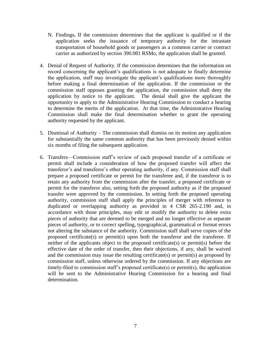- N. Findings**.** If the commission determines that the applicant is qualified or if the application seeks the issuance of temporary authority for the intrastate transportation of household goods or passengers as a common carrier or contract carrier as authorized by section 390.081 RSMo, the application shall be granted.
- 4. Denial of Request of Authority. If the commission determines that the information on record concerning the applicant's qualifications is not adequate to finally determine the application, staff may investigate the applicant's qualifications more thoroughly before making a final determination of the application. If the commission or the commission staff opposes granting the application, the commission shall deny the application by notice to the applicant. The denial shall give the applicant the opportunity to apply to the Administrative Hearing Commission to conduct a hearing to determine the merits of the application. At that time, the Administrative Hearing Commission shall make the final determination whether to grant the operating authority requested by the applicant.
- 5. Dismissal of Authority The commission shall dismiss on its motion any application for substantially the same common authority that has been previously denied within six months of filing the subsequent application.
- 6. Transfers—Commission staff's review of each proposed transfer of a certificate or permit shall include a consideration of how the proposed transfer will affect the transferor's and transferee's other operating authority, if any. Commission staff shall prepare a proposed certificate or permit for the transferee and, if the transferor is to retain any authority from the commission after the transfer, a proposed certificate or permit for the transferor also, setting forth the proposed authority as if the proposed transfer were approved by the commission. In setting forth the proposed operating authority, commission staff shall apply the principles of merger with reference to duplicated or overlapping authority as provided in 4 CSR 265-2.190 and, in accordance with those principles, may edit or modify the authority to delete extra pieces of authority that are deemed to be merged and no longer effective as separate pieces of authority, or to correct spelling, typographical, grammatical or format errors not altering the substance of the authority. Commission staff shall serve copies of the proposed certificate(s) or permit(s) upon both the transferor and the transferee. If neither of the applicants object to the proposed certificate(s) or permit(s) before the effective date of the order of transfer, then their objections, if any, shall be waived and the commission may issue the resulting certificate(s) or permit(s) as proposed by commission staff, unless otherwise ordered by the commission. If any objections are timely-filed to commission staff's proposed certificate(s) or permit(s), the application will be sent to the Administrative Hearing Commission for a hearing and final determination.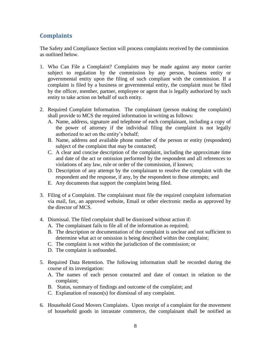#### <span id="page-7-0"></span>**Complaints**

The Safety and Compliance Section will process complaints received by the commission as outlined below.

- 1. Who Can File a Complaint? Complaints may be made against any motor carrier subject to regulation by the commission by any person, business entity or governmental entity upon the filing of such compliant with the commission. If a complaint is filed by a business or governmental entity, the complaint must be filed by the officer, member, partner, employee or agent that is legally authorized by such entity to take action on behalf of such entity.
- 2. Required Complaint Information. The complainant (person making the complaint) shall provide to MCS the required information in writing as follows:
	- A. Name, address, signature and telephone of each complainant, including a copy of the power of attorney if the individual filing the complaint is not legally authorized to act on the entity's behalf;
	- B. Name, address and available phone number of the person or entity (respondent) subject of the complaint that may be contacted;
	- C. A clear and concise description of the complaint, including the approximate time and date of the act or omission performed by the respondent and all references to violations of any law, rule or order of the commission, if known;
	- D. Description of any attempt by the complainant to resolve the complaint with the respondent and the response, if any, by the respondent to those attempts; and
	- E. Any documents that support the complaint being filed.
- 3. Filing of a Complaint. The complainant must file the required complaint information via mail, fax, an approved website, Email or other electronic media as approved by the director of MCS.
- 4. Dismissal. The filed complaint shall be dismissed without action if:
	- A. The complainant fails to file all of the information as required;
	- B. The description or documentation of the complaint is unclear and not sufficient to determine what act or omission is being described within the complaint;
	- C. The complaint is not within the jurisdiction of the commission; or
	- D. The complaint is unfounded.
- 5. Required Data Retention. The following information shall be recorded during the course of its investigation:
	- A. The names of each person contacted and date of contact in relation to the complaint;
	- B. Status, summary of findings and outcome of the complaint; and
	- C. Explanation of reason(s) for dismissal of any complaint.
- 6. Household Good Movers Complaints. Upon receipt of a complaint for the movement of household goods in intrastate commerce, the complainant shall be notified as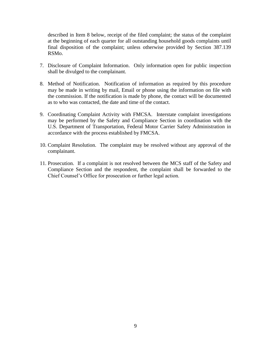described in Item 8 below, receipt of the filed complaint; the status of the complaint at the beginning of each quarter for all outstanding household goods complaints until final disposition of the complaint; unless otherwise provided by Section 387.139 RSMo.

- 7. Disclosure of Complaint Information. Only information open for public inspection shall be divulged to the complainant.
- 8. Method of Notification. Notification of information as required by this procedure may be made in writing by mail, Email or phone using the information on file with the commission. If the notification is made by phone, the contact will be documented as to who was contacted, the date and time of the contact.
- 9. Coordinating Complaint Activity with FMCSA. Interstate complaint investigations may be performed by the Safety and Compliance Section in coordination with the U.S. Department of Transportation, Federal Motor Carrier Safety Administration in accordance with the process established by FMCSA.
- 10. Complaint Resolution. The complaint may be resolved without any approval of the complainant.
- 11. Prosecution. If a complaint is not resolved between the MCS staff of the Safety and Compliance Section and the respondent, the complaint shall be forwarded to the Chief Counsel's Office for prosecution or further legal action.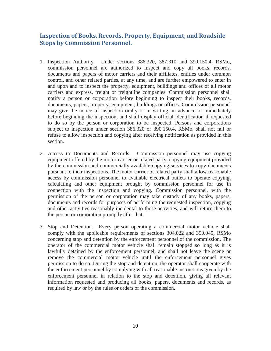#### <span id="page-9-0"></span>**Inspection of Books, Records, Property, Equipment, and Roadside Stops by Commission Personnel.**

- 1. Inspection Authority.Under sections 386.320, 387.310 and 390.150.4, RSMo, commission personnel are authorized to inspect and copy all books, records, documents and papers of motor carriers and their affiliates, entities under common control, and other related parties, at any time, and are further empowered to enter in and upon and to inspect the property, equipment, buildings and offices of all motor carriers and express, freight or freightline companies. Commission personnel shall notify a person or corporation before beginning to inspect their books, records, documents, papers, property, equipment, buildings or offices. Commission personnel may give the notice of inspection orally or in writing, in advance or immediately before beginning the inspection, and shall display official identification if requested to do so by the person or corporation to be inspected. Persons and corporations subject to inspection under section 386.320 or 390.150.4, RSMo, shall not fail or refuse to allow inspection and copying after receiving notification as provided in this section.
- 2. Access to Documents and Records. Commission personnel may use copying equipment offered by the motor carrier or related party, copying equipment provided by the commission and commercially available copying services to copy documents pursuant to their inspections. The motor carrier or related party shall allow reasonable access by commission personnel to available electrical outlets to operate copying, calculating and other equipment brought by commission personnel for use in connection with the inspection and copying. Commission personnel, with the permission of the person or corporation may take custody of any books, papers, documents and records for purposes of performing the requested inspection, copying and other activities reasonably incidental to those activities, and will return them to the person or corporation promptly after that.
- 3. Stop and Detention.Every person operating a commercial motor vehicle shall comply with the applicable requirements of sections 304.022 and 390.045, RSMo concerning stop and detention by the enforcement personnel of the commission. The operator of the commercial motor vehicle shall remain stopped so long as it is lawfully detained by the enforcement personnel, and shall not leave the scene or remove the commercial motor vehicle until the enforcement personnel gives permission to do so. During the stop and detention, the operator shall cooperate with the enforcement personnel by complying with all reasonable instructions given by the enforcement personnel in relation to the stop and detention, giving all relevant information requested and producing all books, papers, documents and records, as required by law or by the rules or orders of the commission.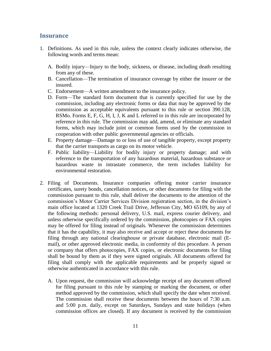#### <span id="page-10-0"></span>**Insurance**

- 1. Definitions. As used in this rule, unless the context clearly indicates otherwise, the following words and terms mean:
	- A. Bodily injury—Injury to the body, sickness, or disease, including death resulting from any of these.
	- B. Cancellation—The termination of insurance coverage by either the insurer or the insured.
	- C. Endorsement—A written amendment to the insurance policy.
	- D. Form—The standard form document that is currently specified for use by the commission, including any electronic forms or data that may be approved by the commission as acceptable equivalents pursuant to this rule or section 390.128, RSMo. Forms E, F, G, H, I, J, K and L referred to in this rule are incorporated by reference in this rule. The commission may add, amend, or eliminate any standard forms, which may include joint or common forms used by the commission in cooperation with other public governmental agencies or officials.
	- E. Property damage—Damage to or loss of use of tangible property, except property that the carrier transports as cargo on its motor vehicle.
	- F. Public liability—Liability for bodily injury or property damage; and with reference to the transportation of any hazardous material, hazardous substance or hazardous waste in intrastate commerce, the term includes liability for environmental restoration.
- 2. Filing of Documents. Insurance companies offering motor carrier insurance certificates, surety bonds, cancellation notices, or other documents for filing with the commission pursuant to this rule, shall deliver the documents to the attention of the commission's Motor Carrier Services Division registration section, in the division's main office located at 1320 Creek Trail Drive, Jefferson City, MO 65109, by any of the following methods: personal delivery, U.S. mail, express courier delivery, and unless otherwise specifically ordered by the commission, photocopies or FAX copies may be offered for filing instead of originals. Whenever the commission determines that it has the capability, it may also receive and accept or reject these documents for filing through any national clearinghouse or private database, electronic mail (Email), or other approved electronic media, in conformity of this procedure. A person or company that offers photocopies, FAX copies, or electronic documents for filing shall be bound by them as if they were signed originals. All documents offered for filing shall comply with the applicable requirements and be properly signed or otherwise authenticated in accordance with this rule.
	- A. Upon request, the commission will acknowledge receipt of any document offered for filing pursuant to this rule by stamping or marking the document, or other method approved by the commission, which shall specify the date when received. The commission shall receive these documents between the hours of 7:30 a.m. and 5:00 p.m. daily, except on Saturdays, Sundays and state holidays (when commission offices are closed). If any document is received by the commission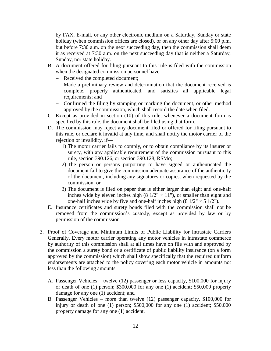by FAX, E-mail, or any other electronic medium on a Saturday, Sunday or state holiday (when commission offices are closed), or on any other day after 5:00 p.m. but before 7:30 a.m. on the next succeeding day, then the commission shall deem it as received at 7:30 a.m. on the next succeeding day that is neither a Saturday, Sunday, nor state holiday.

- B. A document offered for filing pursuant to this rule is filed with the commission when the designated commission personnel have—
	- Received the completed document;
	- Made a preliminary review and determination that the document received is complete, properly authenticated, and satisfies all applicable legal requirements; and
	- Confirmed the filing by stamping or marking the document, or other method approved by the commission, which shall record the date when filed.
- C. Except as provided in section (10) of this rule, whenever a document form is specified by this rule, the document shall be filed using that form.
- D. The commission may reject any document filed or offered for filing pursuant to this rule, or declare it invalid at any time, and shall notify the motor carrier of the rejection or invalidity, if—
	- 1) The motor carrier fails to comply, or to obtain compliance by its insurer or surety, with any applicable requirement of the commission pursuant to this rule, section 390.126, or section 390.128, RSMo;
	- 2) The person or persons purporting to have signed or authenticated the document fail to give the commission adequate assurance of the authenticity of the document, including any signatures or copies, when requested by the commission; or
	- 3) The document is filed on paper that is either larger than eight and one-half inches wide by eleven inches high (8  $1/2$ "  $\times$  11"), or smaller than eight and one-half inches wide by five and one-half inches high  $(8 \frac{1}{2} \times 5 \frac{1}{2})$ .
- E. Insurance certificates and surety bonds filed with the commission shall not be removed from the commission's custody, except as provided by law or by permission of the commission*.*
- 3. Proof of Coverage and Minimum Limits of Public Liability for Intrastate Carriers Generally. Every motor carrier operating any motor vehicles in intrastate commerce by authority of this commission shall at all times have on file with and approved by the commission a surety bond or a certificate of public liability insurance (on a form approved by the commission) which shall show specifically that the required uniform endorsements are attached to the policy covering each motor vehicle in amounts not less than the following amounts.
	- A. Passenger Vehicles twelve (12) passenger or less capacity, \$100,000 for injury or death of one (1) person; \$300,000 for any one (1) accident; \$50,000 property damage for any one (1) accident; and
	- B. Passenger Vehicles more than twelve (12) passenger capacity, \$100,000 for injury or death of one (1) person; \$500,000 for any one (1) accident; \$50,000 property damage for any one (1) accident.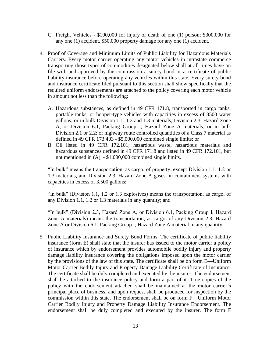- C. Freight Vehicles \$100,000 for injury or death of one (1) person; \$300,000 for any one (1) accident, \$50,000 property damage for any one (1) accident.
- 4. Proof of Coverage and Minimum Limits of Public Liability for Hazardous Materials Carriers. Every motor carrier operating any motor vehicles in intrastate commerce transporting those types of commodities designated below shall at all times have on file with and approved by the commission a surety bond or a certificate of public liability insurance before operating any vehicles within this state. Every surety bond and insurance certificate filed pursuant to this section shall show specifically that the required uniform endorsements are attached to the policy covering each motor vehicle in amount not less than the following:
	- A. Hazardous substances, as defined in 49 CFR 171.8, transported in cargo tanks, portable tanks, or hopper-type vehicles with capacities in excess of 3500 water gallons; or in bulk Division 1.1, 1.2 and 1.3 materials, Division 2.3, Hazard Zone A, or Division 6.1, Packing Group I, Hazard Zone A materials; or in bulk Division 2.1 or 2.2; or highway route controlled quantities of a Class 7 material as defined in 49 CFR 173.403 - \$5,000,000 combined single limits; or
	- B. Oil listed in 49 CFR 172.101; hazardous waste, hazardous materials and hazardous substances defined in 49 CFR 171.8 and listed in 49 CFR 172.101, but not mentioned in (A) - \$1,000,000 combined single limits.

"In bulk" means the transportation, as cargo, of property, except Division 1.1, 1.2 or 1.3 materials, and Division 2.3, Hazard Zone A gases, in containment systems with capacities in excess of 3,500 gallons;

"In bulk" (Division 1.1, 1.2 or 1.3 explosives) means the transportation, as cargo, of any Division 1.1, 1.2 or 1.3 materials in any quantity; and

"In bulk" (Division 2.3, Hazard Zone A, or Division 6.1, Packing Group I, Hazard Zone A materials) means the transportation, as cargo, of any Division 2.3, Hazard Zone A or Division 6.1, Packing Group I, Hazard Zone A material in any quantity.

5. Public Liability Insurance and Surety Bond Forms. The certificate of public liability insurance (form E) shall state that the insurer has issued to the motor carrier a policy of insurance which by endorsement provides automobile bodily injury and property damage liability insurance covering the obligations imposed upon the motor carrier by the provisions of the law of this state. The certificate shall be on form E—Uniform Motor Carrier Bodily Injury and Property Damage Liability Certificate of Insurance. The certificate shall be duly completed and executed by the insurer. The endorsement shall be attached to the insurance policy and form a part of it. True copies of the policy with the endorsement attached shall be maintained at the motor carrier's principal place of business, and upon request shall be produced for inspection by the commission within this state. The endorsement shall be on form F—Uniform Motor Carrier Bodily Injury and Property Damage Liability Insurance Endorsement. The endorsement shall be duly completed and executed by the insurer. The form F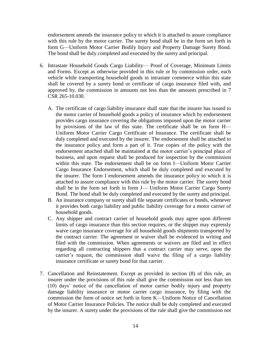endorsement amends the insurance policy to which it is attached to assure compliance with this rule by the motor carrier. The surety bond shall be in the form set forth in form G—Uniform Motor Carrier Bodily Injury and Property Damage Surety Bond. The bond shall be duly completed and executed by the surety and principal.

- 6. Intrastate Household Goods Cargo Liability— Proof of Coverage, Minimum Limits and Forms. Except as otherwise provided in this rule or by commission order, each vehicle while transporting household goods in intrastate commerce within this state shall be covered by a surety bond or certificate of cargo insurance filed with, and approved by, the commission in amounts not less than the amounts prescribed in 7 CSR 265-10.030.
	- A. The certificate of cargo liability insurance shall state that the insurer has issued to the motor carrier of household goods a policy of insurance which by endorsement provides cargo insurance covering the obligations imposed upon the motor carrier by provisions of the law of this state. The certificate shall be on form H— Uniform Motor Carrier Cargo Certificate of Insurance. The certificate shall be duly completed and executed by the insurer. The endorsement shall be attached to the insurance policy and form a part of it. True copies of the policy with the endorsement attached shall be maintained at the motor carrier's principal place of business, and upon request shall be produced for inspection by the commission within this state. The endorsement shall be on form I—Uniform Motor Carrier Cargo Insurance Endorsement, which shall be duly completed and executed by the insurer. The form I endorsement amends the insurance policy to which it is attached to assure compliance with this rule by the motor carrier. The surety bond shall be in the form set forth in form J— Uniform Motor Carrier Cargo Surety Bond. The bond shall be duly completed and executed by the surety and principal.
	- B. An insurance company or surety shall file separate certificates or bonds, whenever it provides both cargo liability and public liability coverage for a motor carrier of household goods.
	- C. Any shipper and contract carrier of household goods may agree upon different limits of cargo insurance than this section requires, or the shipper may expressly waive cargo insurance coverage for all household goods shipments transported by the contract carrier. The agreement or waiver shall be evidenced in writing and filed with the commission. When agreements or waivers are filed and in effect regarding all contracting shippers that a contract carrier may serve, upon the carrier's request, the commission shall waive the filing of a cargo liability insurance certificate or surety bond for that carrier.
- 7. Cancellation and Reinstatement. Except as provided in section (8) of this rule, an insurer under the provisions of this rule shall give the commission not less than ten (10) days' notice of the cancellation of motor carrier bodily injury and property damage liability insurance or motor carrier cargo insurance, by filing with the commission the form of notice set forth in form K—Uniform Notice of Cancellation of Motor Carrier Insurance Policies. The notice shall be duly completed and executed by the insurer. A surety under the provisions of the rule shall give the commission not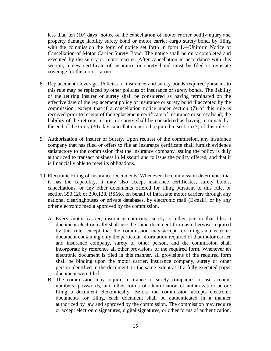less than ten (10) days' notice of the cancellation of motor carrier bodily injury and property damage liability surety bond or motor carrier cargo surety bond, by filing with the commission the form of notice set forth in form L—Uniform Notice of Cancellation of Motor Carrier Surety Bond. The notice shall be duly completed and executed by the surety or motor carrier. After cancellation in accordance with this section, a new certificate of insurance or surety bond must be filed to reinstate coverage for the motor carrier.

- 8. Replacement Coverage. Policies of insurance and surety bonds required pursuant to this rule may be replaced by other policies of insurance or surety bonds. The liability of the retiring insurer or surety shall be considered as having terminated on the effective date of the replacement policy of insurance or surety bond if accepted by the commission; except that if a cancellation notice under section (7) of this rule is received prior to receipt of the replacement certificate of insurance or surety bond, the liability of the retiring insurer or surety shall be considered as having terminated at the end of the thirty (30)-day cancellation period required in section (7) of this rule.
- 9. Authorization of Insurer or Surety. Upon request of the commission, any insurance company that has filed or offers to file an insurance certificate shall furnish evidence satisfactory to the commission that the insurance company issuing the policy is duly authorized to transact business in Missouri and to issue the policy offered, and that it is financially able to meet its obligations.
- 10. Electronic Filing of Insurance Documents. Whenever the commission determines that it has the capability, it may also accept insurance certificates, surety bonds, cancellations, or any other documents offered for filing pursuant to this rule, or section 390.126 or 390.128, RSMo, on behalf of intrastate motor carriers through any national clearinghouses or private databases, by electronic mail (E-mail), or by any other electronic media approved by the commission.
	- A. Every motor carrier, insurance company, surety or other person that files a document electronically shall use the same document form as otherwise required by this rule, except that the commission may accept for filing an electronic document containing only the particular information required of that motor carrier and insurance company, surety or other person, and the commission shall incorporate by reference all other provisions of the required form. Whenever an electronic document is filed in this manner, all provisions of the required form shall be binding upon the motor carrier, insurance company, surety or other person identified in the document, to the same extent as if a fully executed paper document were filed.
	- B. The commission may require insurance or surety companies to use account numbers, passwords, and other forms of identification or authorization before filing a document electronically. Before the commission accepts electronic documents for filing, each document shall be authenticated in a manner authorized by law and approved by the commission. The commission may require or accept electronic signatures, digital signatures, or other forms of authentication.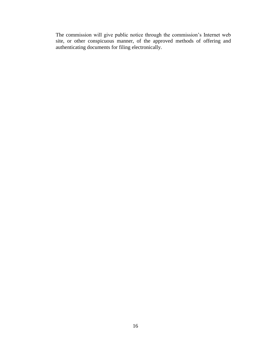The commission will give public notice through the commission's Internet web site, or other conspicuous manner, of the approved methods of offering and authenticating documents for filing electronically.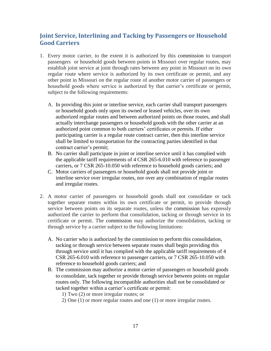## <span id="page-16-0"></span>**Joint Service, Interlining and Tacking by Passengers or Household Good Carriers**

- 1. Every motor carrier, to the extent it is authorized by this commission to transport passengers or household goods between points in Missouri over regular routes, may establish joint service at joint through rates between any point in Missouri on its own regular route where service is authorized by its own certificate or permit, and any other point in Missouri on the regular route of another motor carrier of passengers or household goods where service is authorized by that carrier's certificate or permit, subject to the following requirements:
	- A. In providing this joint or interline service, each carrier shall transport passengers or household goods only upon its owned or leased vehicles, over its own authorized regular routes and between authorized points on those routes, and shall actually interchange passengers or household goods with the other carrier at an authorized point common to both carriers' certificates or permits. If either participating carrier is a regular route contract carrier, then this interline service shall be limited to transportation for the contracting parties identified in that contract carrier's permit;
	- B. No carrier shall participate in joint or interline service until it has complied with the applicable tariff requirements of 4 CSR 265-6.010 with reference to passenger carriers, or 7 CSR 265-10.050 with reference to household goods carriers; and
	- C. Motor carriers of passengers or household goods shall not provide joint or interline service over irregular routes, nor over any combination of regular routes and irregular routes.
- 2. A motor carrier of passengers or household goods shall not consolidate or tack together separate routes within its own certificate or permit, to provide through service between points on its separate routes, unless the commission has expressly authorized the carrier to perform that consolidation, tacking or through service in its certificate or permit. The commission may authorize the consolidation, tacking or through service by a carrier subject to the following limitations:
	- A. No carrier who is authorized by the commission to perform this consolidation, tacking or through service between separate routes shall begin providing this through service until it has complied with the applicable tariff requirements of 4 CSR 265-6.010 with reference to passenger carriers, or 7 CSR 265-10.050 with reference to household goods carriers; and
	- B. The commission may authorize a motor carrier of passengers or household goods to consolidate, tack together or provide through service between points on regular routes only. The following incompatible authorities shall not be consolidated or tacked together within a carrier's certificate or permit:
		- 1) Two (2) or more irregular routes; or
		- 2) One (1) or more regular routes and one (1) or more irregular routes.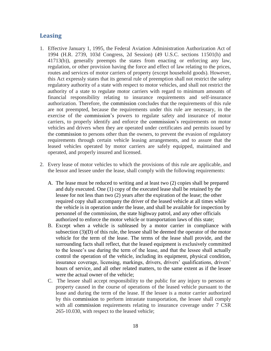#### <span id="page-17-0"></span>**Leasing**

- 1. Effective January 1, 1995, the Federal Aviation Administration Authorization Act of 1994 (H.R. 2739, 103d Congress, 2d Session) (49 U.S.C. sections 11501(h) and 41713(b)), generally preempts the states from enacting or enforcing any law, regulation, or other provision having the force and effect of law relating to the prices, routes and services of motor carriers of property (except household goods). However, this Act expressly states that its general rule of preemption shall not restrict the safety regulatory authority of a state with respect to motor vehicles, and shall not restrict the authority of a state to regulate motor carriers with regard to minimum amounts of financial responsibility relating to insurance requirements and self-insurance authorization. Therefore, the commission concludes that the requirements of this rule are not preempted, because the requirements under this rule are necessary, in the exercise of the commission's powers to regulate safety and insurance of motor carriers, to properly identify and enforce the commission's requirements on motor vehicles and drivers when they are operated under certificates and permits issued by the commission to persons other than the owners, to prevent the evasion of regulatory requirements through certain vehicle leasing arrangements, and to assure that the leased vehicles operated by motor carriers are safely equipped, maintained and operated, and properly insured and licensed.
- 2. Every lease of motor vehicles to which the provisions of this rule are applicable, and the lessor and lessee under the lease, shall comply with the following requirements:
	- A. The lease must be reduced to writing and at least two (2) copies shall be prepared and duly executed. One (1) copy of the executed lease shall be retained by the lessee for not less than two (2) years after the expiration of the lease; the other required copy shall accompany the driver of the leased vehicle at all times while the vehicle is in operation under the lease, and shall be available for inspection by personnel of the commission, the state highway patrol, and any other officials authorized to enforce the motor vehicle or transportation laws of this state;
	- B. Except when a vehicle is subleased by a motor carrier in compliance with subsection (3)(D) of this rule, the lessee shall be deemed the operator of the motor vehicle for the term of the lease. The terms of the lease shall provide, and the surrounding facts shall reflect, that the leased equipment is exclusively committed to the lessee's use during the term of the lease, and that the lessee shall actually control the operation of the vehicle, including its equipment, physical condition, insurance coverage, licensing, markings, drivers, drivers' qualifications, drivers' hours of service, and all other related matters, to the same extent as if the lessee were the actual owner of the vehicle;
	- C. The lessee shall accept responsibility to the public for any injury to persons or property caused in the course of operations of the leased vehicle pursuant to the lease and during the term of the lease. If the lessee is a motor carrier authorized by this commission to perform intrastate transportation, the lessee shall comply with all commission requirements relating to insurance coverage under 7 CSR 265-10.030, with respect to the leased vehicle;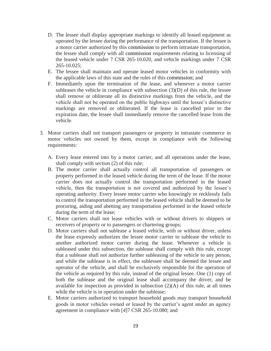- D. The lessee shall display appropriate markings to identify all leased equipment as operated by the lessee during the performance of the transportation. If the lessee is a motor carrier authorized by this commission to perform intrastate transportation, the lessee shall comply with all commission requirements relating to licensing of the leased vehicle under 7 CSR 265-10.020, and vehicle markings under 7 CSR  $265 - 10.025$ ;
- E. The lessee shall maintain and operate leased motor vehicles in conformity with the applicable laws of this state and the rules of this commission; and
- F. Immediately upon the termination of the lease, and whenever a motor carrier subleases the vehicle in compliance with subsection (3)(D) of this rule, the lessee shall remove or obliterate all its distinctive markings from the vehicle, and the vehicle shall not be operated on the public highways until the lessee's distinctive markings are removed or obliterated. If the lease is cancelled prior to the expiration date, the lessee shall immediately remove the cancelled lease from the vehicle.
- 3. Motor carriers shall not transport passengers or property in intrastate commerce in motor vehicles not owned by them, except in compliance with the following requirements:
	- A. Every lease entered into by a motor carrier, and all operations under the lease, shall comply with section (2) of this rule;
	- B. The motor carrier shall actually control all transportation of passengers or property performed in the leased vehicle during the term of the lease. If the motor carrier does not actually control the transportation performed in the leased vehicle, then the transportation is not covered and authorized by the lessee's operating authority. Every lessee motor carrier who knowingly or recklessly fails to control the transportation performed in the leased vehicle shall be deemed to be procuring, aiding and abetting any transportation performed in the leased vehicle during the term of the lease;
	- C. Motor carriers shall not lease vehicles with or without drivers to shippers or receivers of property or to passengers or chartering groups;
	- D. Motor carriers shall not sublease a leased vehicle, with or without driver, unless the lease expressly authorizes the lessee motor carrier to sublease the vehicle to another authorized motor carrier during the lease. Whenever a vehicle is subleased under this subsection, the sublease shall comply with this rule, except that a sublease shall not authorize further subleasing of the vehicle to any person, and while the sublease is in effect, the sublessee shall be deemed the lessee and operator of the vehicle, and shall be exclusively responsible for the operation of the vehicle as required by this rule, instead of the original lessee. One (1) copy of both the sublease and the original lease shall accompany the driver, and be available for inspection as provided in subsection (2)(A) of this rule, at all times while the vehicle is in operation under the sublease;
	- E. Motor carriers authorized to transport household goods may transport household goods in motor vehicles owned or leased by the carrier's agent under an agency agreement in compliance with [*4*]7 CSR 265-10.080; and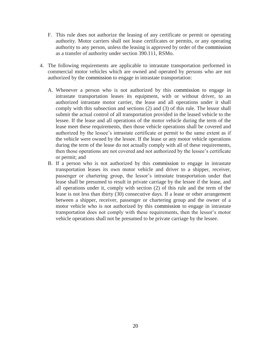- F. This rule does not authorize the leasing of any certificate or permit or operating authority. Motor carriers shall not lease certificates or permits, or any operating authority to any person, unless the leasing is approved by order of the commission as a transfer of authority under section 390.111, RSMo.
- 4. The following requirements are applicable to intrastate transportation performed in commercial motor vehicles which are owned and operated by persons who are not authorized by the commission to engage in intrastate transportation:
	- A. Whenever a person who is not authorized by this commission to engage in intrastate transportation leases its equipment, with or without driver, to an authorized intrastate motor carrier, the lease and all operations under it shall comply with this subsection and sections (2) and (3) of this rule. The lessor shall submit the actual control of all transportation provided in the leased vehicle to the lessee. If the lease and all operations of the motor vehicle during the term of the lease meet these requirements, then those vehicle operations shall be covered and authorized by the lessee's intrastate certificate or permit to the same extent as if the vehicle were owned by the lessee. If the lease or any motor vehicle operations during the term of the lease do not actually comply with all of these requirements, then those operations are not covered and not authorized by the lessee's certificate or permit; and
	- B. If a person who is not authorized by this commission to engage in intrastate transportation leases its own motor vehicle and driver to a shipper, receiver, passenger or chartering group, the lessor's intrastate transportation under that lease shall be presumed to result in private carriage by the lessee if the lease, and all operations under it, comply with section (2) of this rule and the term of the lease is not less than thirty (30) consecutive days. If a lease or other arrangement between a shipper, receiver, passenger or chartering group and the owner of a motor vehicle who is not authorized by this commission to engage in intrastate transportation does not comply with these requirements, then the lessor's motor vehicle operations shall not be presumed to be private carriage by the lessee.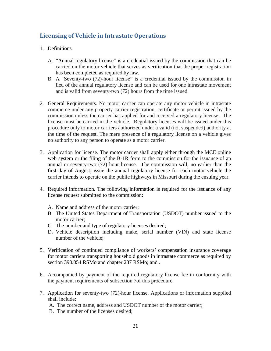### <span id="page-20-0"></span>**Licensing of Vehicle in Intrastate Operations**

- 1. Definitions
	- A. "Annual regulatory license" is a credential issued by the commission that can be carried on the motor vehicle that serves as verification that the proper registration has been completed as required by law.
	- B. A "Seventy-two (72)-hour license" is a credential issued by the commission in lieu of the annual regulatory license and can be used for one intrastate movement and is valid from seventy-two (72) hours from the time issued.
- 2. General Requirements. No motor carrier can operate any motor vehicle in intrastate commerce under any property carrier registration, certificate or permit issued by the commission unless the carrier has applied for and received a regulatory license. The license must be carried in the vehicle. Regulatory licenses will be issued under this procedure only to motor carriers authorized under a valid (not suspended) authority at the time of the request. The mere presence of a regulatory license on a vehicle gives no authority to any person to operate as a motor carrier.
- 3. Application for license. The motor carrier shall apply either through the MCE online web system or the filing of the B-1R form to the commission for the issuance of an annual or seventy-two (72) hour license. The commission will, no earlier than the first day of August, issue the annual regulatory license for each motor vehicle the carrier intends to operate on the public highways in Missouri during the ensuing year.
- 4. Required information. The following information is required for the issuance of any license request submitted to the commission:
	- A. Name and address of the motor carrier;
	- B. The United States Department of Transportation (USDOT) number issued to the motor carrier;
	- C. The number and type of regulatory licenses desired;
	- D. Vehicle description including make, serial number (VIN) and state license number of the vehicle;
- 5. Verification of continued compliance of workers' compensation insurance coverage for motor carriers transporting household goods in intrastate commerce as required by section 390.054 RSMo and chapter 287 RSMo; and .
- 6. Accompanied by payment of the required regulatory license fee in conformity with the payment requirements of subsection 7of this procedure.
- 7. Application for seventy-two (72)-hour license. Applications or information supplied shall include:
	- A. The correct name, address and USDOT number of the motor carrier;
	- B. The number of the licenses desired;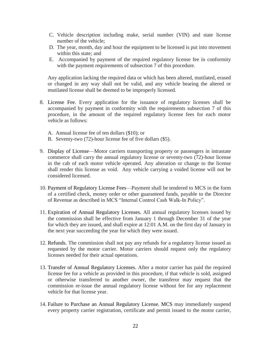- C. Vehicle description including make, serial number (VIN) and state license number of the vehicle;
- D. The year, month, day and hour the equipment to be licensed is put into movement within this state; and
- E. Accompanied by payment of the required regulatory license fee in conformity with the payment requirements of subsection 7 of this procedure.

Any application lacking the required data or which has been altered, mutilated, erased or changed in any way shall not be valid, and any vehicle bearing the altered or mutilated license shall be deemed to be improperly licensed.

- 8. License Fee. Every application for the issuance of regulatory licenses shall be accompanied by payment in conformity with the requirements subsection 7 of this procedure, in the amount of the required regulatory license fees for each motor vehicle as follows:
	- A. Annual license fee of ten dollars (\$10); or
	- B. Seventy-two (72)-hour license fee of five dollars (\$5).
- 9. Display of License—Motor carriers transporting property or passengers in intrastate commerce shall carry the annual regulatory license or seventy-two (72)-hour license in the cab of each motor vehicle operated. Any alteration or change to the license shall render this license as void. Any vehicle carrying a voided license will not be considered licensed.
- 10. Payment of Regulatory License Fees—Payment shall be tendered to MCS in the form of a certified check, money order or other guaranteed funds, payable to the Director of Revenue as described in MCS "Internal Control Cash Walk-In Policy".
- 11. Expiration of Annual Regulatory Licenses. All annual regulatory licenses issued by the commission shall be effective from January 1 through December 31 of the year for which they are issued, and shall expire at 12:01 A.M. on the first day of January in the next year succeeding the year for which they were issued.
- 12. Refunds. The commission shall not pay any refunds for a regulatory license issued as requested by the motor carrier. Motor carriers should request only the regulatory licenses needed for their actual operations.
- 13. Transfer of Annual Regulatory Licenses. After a motor carrier has paid the required license fee for a vehicle as provided in this procedure, if that vehicle is sold, assigned or otherwise transferred to another owner, the transferor may request that the commission re-issue the annual regulatory license without fee for any replacement vehicle for that license year.
- 14. Failure to Purchase an Annual Regulatory License. MCS may immediately suspend every property carrier registration, certificate and permit issued to the motor carrier,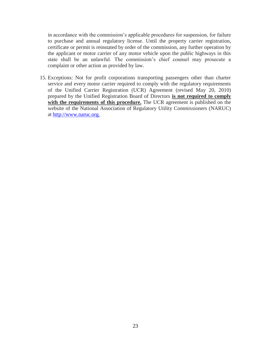in accordance with the commission's applicable procedures for suspension, for failure to purchase and annual regulatory license. Until the property carrier registration, certificate or permit is reinstated by order of the commission, any further operation by the applicant or motor carrier of any motor vehicle upon the public highways in this state shall be an unlawful. The commission's chief counsel may prosecute a complaint or other action as provided by law.

15. Exceptions: Not for profit corporations transporting passengers other than charter service and every motor carrier required to comply with the regulatory requirements of the Unified Carrier Registration (UCR) Agreement (revised May 20, 2010) prepared by the Unified Registration Board of Directors **is not required to comply with the requirements of this procedure.** The UCR agreement is published on the website of the National Association of Regulatory Utility Commissioners (NARUC) at [http://www.naruc.org.](http://www.naruc.org/)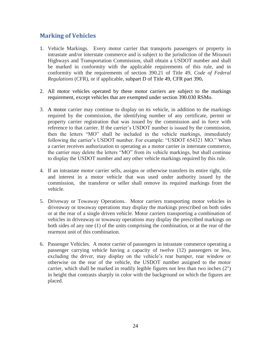#### <span id="page-23-0"></span>**Marking of Vehicles**

- 1. Vehicle Markings.Every motor carrier that transports passengers or property in intrastate and/or interstate commerce and is subject to the jurisdiction of the Missouri Highways and Transportation Commission, shall obtain a USDOT number and shall be marked in conformity with the applicable requirements of this rule, and in conformity with the requirements of section 390.21 of Title 49, *Code of Federal Regulations* (CFR), or if applicable, subpart D of Title 49, CFR part 390**.**
- 2. All motor vehicles operated by these motor carriers are subject to the markings requirement, except vehicles that are exempted under section 390.030 RSMo.
- 3. A motor carrier may continue to display on its vehicle, in addition to the markings required by the commission, the identifying number of any certificate, permit or property carrier registration that was issued by the commission and in force with reference to that carrier. If the carrier's USDOT number is issued by the commission, then the letters "MO" shall be included in the vehicle markings, immediately following the carrier's USDOT number. For example: "USDOT 654321 MO." When a carrier receives authorization to operating as a motor carrier in interstate commerce, the carrier may delete the letters "MO" from its vehicle markings, but shall continue to display the USDOT number and any other vehicle markings required by this rule.
- 4. If an intrastate motor carrier sells, assigns or otherwise transfers its entire right, title and interest in a motor vehicle that was used under authority issued by the commission, the transferor or seller shall remove its required markings from the vehicle.
- 5. Driveway or Towaway Operations.Motor carriers transporting motor vehicles in driveaway or towaway operations may display the markings prescribed on both sides or at the rear of a single driven vehicle. Motor carriers transporting a combination of vehicles in driveaway or towaway operations may display the prescribed markings on both sides of any one (1) of the units comprising the combination, or at the rear of the rearmost unit of this combination.
- 6. Passenger Vehicles.A motor carrier of passengers in intrastate commerce operating a passenger carrying vehicle having a capacity of twelve (12) passengers or less, excluding the driver, may display on the vehicle's rear bumper, rear window or otherwise on the rear of the vehicle, the USDOT number assigned to the motor carrier, which shall be marked in readily legible figures not less than two inches (2") in height that contrasts sharply in color with the background on which the figures are placed.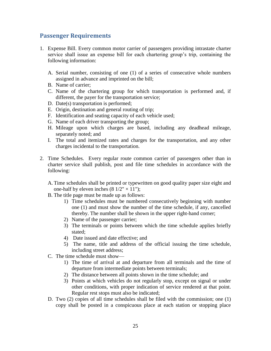#### <span id="page-24-0"></span>**Passenger Requirements**

- 1. Expense Bill. Every common motor carrier of passengers providing intrastate charter service shall issue an expense bill for each chartering group's trip, containing the following information:
	- A. Serial number, consisting of one (1) of a series of consecutive whole numbers assigned in advance and imprinted on the bill;
	- B. Name of carrier;
	- C. Name of the chartering group for which transportation is performed and, if different, the payer for the transportation service;
	- D. Date(s) transportation is performed;
	- E. Origin, destination and general routing of trip;
	- F. Identification and seating capacity of each vehicle used;
	- G. Name of each driver transporting the group;
	- H. Mileage upon which charges are based, including any deadhead mileage, separately noted; and
	- I. The total and itemized rates and charges for the transportation, and any other charges incidental to the transportation.
- 2. Time Schedules. Every regular route common carrier of passengers other than in charter service shall publish, post and file time schedules in accordance with the following:
	- A. Time schedules shall be printed or typewritten on good quality paper size eight and one-half by eleven inches  $(8 \frac{1}{2} \times 11")$ ;
	- B. The title page must be made up as follows:
		- 1) Time schedules must be numbered consecutively beginning with number one (1) and must show the number of the time schedule, if any, cancelled thereby. The number shall be shown in the upper right-hand corner;
		- 2) Name of the passenger carrier;
		- 3) The terminals or points between which the time schedule applies briefly stated;
		- 4) Date issued and date effective; and
		- 5) The name, title and address of the official issuing the time schedule, including street address;
	- C. The time schedule must show—
		- 1) The time of arrival at and departure from all terminals and the time of departure from intermediate points between terminals;
		- 2) The distance between all points shown in the time schedule; and
		- 3) Points at which vehicles do not regularly stop, except on signal or under other conditions, with proper indication of service rendered at that point. Regular rest stops must also be indicated;
	- D. Two (2) copies of all time schedules shall be filed with the commission; one (1) copy shall be posted in a conspicuous place at each station or stopping place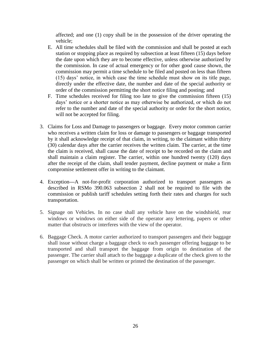affected; and one (1) copy shall be in the possession of the driver operating the vehicle;

- E. All time schedules shall be filed with the commission and shall be posted at each station or stopping place as required by subsection at least fifteen (15) days before the date upon which they are to become effective, unless otherwise authorized by the commission. In case of actual emergency or for other good cause shown, the commission may permit a time schedule to be filed and posted on less than fifteen (15) days' notice, in which case the time schedule must show on its title page, directly under the effective date, the number and date of the special authority or order of the commission permitting the short notice filing and posting; and
- F. Time schedules received for filing too late to give the commission fifteen (15) days' notice or a shorter notice as may otherwise be authorized, or which do not refer to the number and date of the special authority or order for the short notice, will not be accepted for filing.
- 3. Claims for Loss and Damage to passengers or baggage.Every motor common carrier who receives a written claim for loss or damage to passengers or baggage transported by it shall acknowledge receipt of that claim, in writing, to the claimant within thirty (30) calendar days after the carrier receives the written claim. The carrier, at the time the claim is received, shall cause the date of receipt to be recorded on the claim and shall maintain a claim register. The carrier, within one hundred twenty (120) days after the receipt of the claim, shall tender payment, decline payment or make a firm compromise settlement offer in writing to the claimant.
- 4. Exception**—**A not-for-profit corporation authorized to transport passengers as described in RSMo 390.063 subsection 2 shall not be required to file with the commission or publish tariff schedules setting forth their rates and charges for such transportation.
- 5. Signage on Vehicles. In no case shall any vehicle have on the windshield, rear windows or windows on either side of the operator any lettering, papers or other matter that obstructs or interferes with the view of the operator.
- 6. Baggage Check. A motor carrier authorized to transport passengers and their baggage shall issue without charge a baggage check to each passenger offering baggage to be transported and shall transport the baggage from origin to destination of the passenger. The carrier shall attach to the baggage a duplicate of the check given to the passenger on which shall be written or printed the destination of the passenger.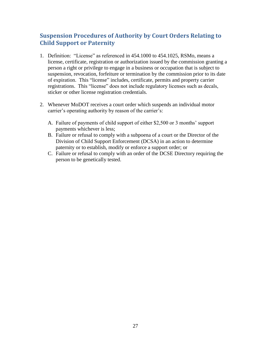## <span id="page-26-0"></span>**Suspension Procedures of Authority by Court Orders Relating to Child Support or Paternity**

- 1. Definition: "License" as referenced in 454.1000 to 454.1025, RSMo, means a license, certificate, registration or authorization issued by the commission granting a person a right or privilege to engage in a business or occupation that is subject to suspension, revocation, forfeiture or termination by the commission prior to its date of expiration. This "license" includes, certificate, permits and property carrier registrations. This "license" does not include regulatory licenses such as decals, sticker or other license registration credentials.
- 2. Whenever MoDOT receives a court order which suspends an individual motor carrier's operating authority by reason of the carrier's:
	- A. Failure of payments of child support of either \$2,500 or 3 months' support payments whichever is less;
	- B. Failure or refusal to comply with a subpoena of a court or the Director of the Division of Child Support Enforcement (DCSA) in an action to determine paternity or to establish, modify or enforce a support order; or
	- C. Failure or refusal to comply with an order of the DCSE Directory requiring the person to be genetically tested.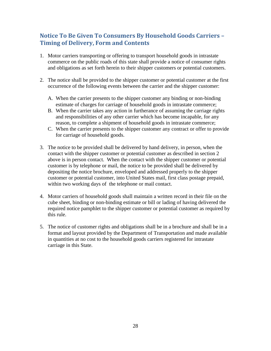#### <span id="page-27-0"></span>**Notice To Be Given To Consumers By Household Goods Carriers – Timing of Delivery, Form and Contents**

- 1. Motor carriers transporting or offering to transport household goods in intrastate commerce on the public roads of this state shall provide a notice of consumer rights and obligations as set forth herein to their shipper customers or potential customers.
- 2. The notice shall be provided to the shipper customer or potential customer at the first occurrence of the following events between the carrier and the shipper customer:
	- A. When the carrier presents to the shipper customer any binding or non-binding estimate of charges for carriage of household goods in intrastate commerce;
	- B. When the carrier takes any action in furtherance of assuming the carriage rights and responsibilities of any other carrier which has become incapable, for any reason, to complete a shipment of household goods in intrastate commerce;
	- C. When the carrier presents to the shipper customer any contract or offer to provide for carriage of household goods.
- 3. The notice to be provided shall be delivered by hand delivery, in person, when the contact with the shipper customer or potential customer as described in section 2 above is in person contact. When the contact with the shipper customer or potential customer is by telephone or mail, the notice to be provided shall be delivered by depositing the notice brochure, enveloped and addressed properly to the shipper customer or potential customer, into United States mail, first class postage prepaid, within two working days of the telephone or mail contact.
- 4. Motor carriers of household goods shall maintain a written record in their file on the cube sheet, binding or non-binding estimate or bill or lading of having delivered the required notice pamphlet to the shipper customer or potential customer as required by this rule.
- 5. The notice of customer rights and obligations shall be in a brochure and shall be in a format and layout provided by the Department of Transportation and made available in quantities at no cost to the household goods carriers registered for intrastate carriage in this State.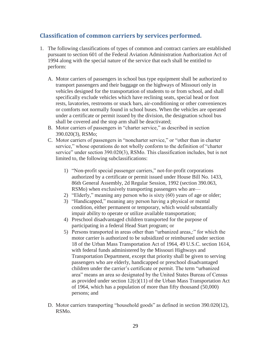#### <span id="page-28-0"></span>**Classification of common carriers by services performed.**

- 1. The following classifications of types of common and contract carriers are established pursuant to section 601 of the Federal Aviation Administration Authorization Act of 1994 along with the special nature of the service that each shall be entitled to perform:
	- A. Motor carriers of passengers in school bus type equipment shall be authorized to transport passengers and their baggage on the highways of Missouri only in vehicles designed for the transportation of students to or from school, and shall specifically exclude vehicles which have reclining seats, special head or foot rests, lavatories, restrooms or snack bars, air-conditioning or other conveniences or comforts not normally found in school buses. When the vehicles are operated under a certificate or permit issued by the division, the designation school bus shall be covered and the stop arm shall be deactivated;
	- B. Motor carriers of passengers in "charter service," as described in section 390.020(3), RSMo;
	- C. Motor carriers of passengers in "noncharter service," or "other than in charter service," whose operations do not wholly conform to the definition of "charter service" under section 390.020(3), RSMo. This classification includes, but is not limited to, the following subclassifications:
		- 1) "Non-profit special passenger carriers," not-for-profit corporations authorized by a certificate or permit issued under House Bill No. 1433, 86th General Assembly, 2d Regular Session, 1992 (section 390.063, RSMo) when exclusively transporting passengers who are—
		- 2) "Elderly," meaning any person who is sixty (60) years of age or older;
		- 3) "Handicapped," meaning any person having a physical or mental condition, either permanent or temporary, which would substantially impair ability to operate or utilize available transportation;
		- 4) Preschool disadvantaged children transported for the purpose of participating in a federal Head Start program; or
		- 5) Persons transported in areas other than "urbanized areas,:" for which the motor carrier is authorized to be subsidized or reimbursed under section 18 of the Urban Mass Transportation Act of 1964, 49 U.S.C. section 1614, with federal funds administered by the Missouri Highways and Transportation Department, except that priority shall be given to serving passengers who are elderly, handicapped or preschool disadvantaged children under the carrier's certificate or permit. The term "urbanized area" means an area so designated by the United States Bureau of Census as provided under section  $12(c)(11)$  of the Urban Mass Transportation Act of 1964, which has a population of more than fifty thousand (50,000) persons; and
	- D. Motor carriers transporting "household goods" as defined in section 390.020(12), RSMo.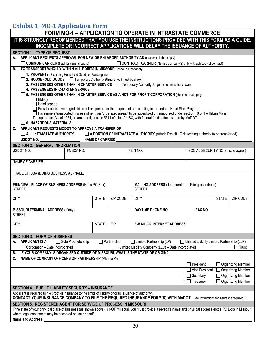#### **Exhibit 1: MO-1 Application Form**

|                                                                                                                                                                                                                                                         |                          | <b>FORM MO-1 - APPLICATION TO OPERATE IN INTRASTATE COMMERCE</b>   |                                                                                              |  |
|---------------------------------------------------------------------------------------------------------------------------------------------------------------------------------------------------------------------------------------------------------|--------------------------|--------------------------------------------------------------------|----------------------------------------------------------------------------------------------|--|
| IT IS STRONGLY RECOMMENDED THAT YOU USE THE INSTRUCTIONS PROVIDED WITH THIS FORM AS A GUIDE.                                                                                                                                                            |                          |                                                                    |                                                                                              |  |
| INCOMPLETE OR INCORRECT APPLICATIONS WILL DELAY THE ISSUANCE OF AUTHORITY.                                                                                                                                                                              |                          |                                                                    |                                                                                              |  |
| <b>SECTION 1. TYPE OF REQUEST</b>                                                                                                                                                                                                                       |                          |                                                                    |                                                                                              |  |
| APPLICANT REQUESTS APPROVAL FOR NEW OR ENLARGED AUTHORITY AS A (check all that apply)<br>А.<br>COMMON CARRIER (Haul for general public)                                                                                                                 |                          | CONTRACT CARRIER (Named company(s) only - Attach copy of contract) |                                                                                              |  |
| TO TRANSPORT WHOLLY WITHIN ALL POINTS IN MISSOURI (check all that apply)<br>В.                                                                                                                                                                          |                          |                                                                    |                                                                                              |  |
| 1. PROPERTY (Excluding Household Goods or Passengers)                                                                                                                                                                                                   |                          |                                                                    |                                                                                              |  |
| <b>2. HOUSEHOLD GOODS T</b> Temporary Authority (Urgent need must be shown)                                                                                                                                                                             |                          |                                                                    |                                                                                              |  |
| 3. PASSENGERS OTHER THAN IN CHARTER SERVICE <b>T</b> Temporary Authority (Urgent need must be shown)                                                                                                                                                    |                          |                                                                    |                                                                                              |  |
| 4. PASSENGERS IN CHARTER SERVICE<br>$\Box$ 5. PASSENGERS OTHER THAN IN CHARTER SERVICE AS A NOT-FOR-PROFIT CORPORATION (check all that apply)                                                                                                           |                          |                                                                    |                                                                                              |  |
| $\Box$ Elderly                                                                                                                                                                                                                                          |                          |                                                                    |                                                                                              |  |
| $\Box$ Handicapped                                                                                                                                                                                                                                      |                          |                                                                    |                                                                                              |  |
| □ Preschool disadvantaged children transported for the purpose of participating in the federal Head Start Program.<br>□ Passengers transported in areas other than "urbanized areas," to be subsidized or reimbursed under section 18 of the Urban Mass |                          |                                                                    |                                                                                              |  |
| Transportation Act of 1964, as amended, section 5311 of title 49 USC, with federal funds administered by MoDOT.                                                                                                                                         |                          |                                                                    |                                                                                              |  |
| 6. HAZARDOUS MATERIALS                                                                                                                                                                                                                                  |                          |                                                                    |                                                                                              |  |
| APPLICANT REQUESTS MODOT TO APPROVE A TRANSFER OF<br>C.                                                                                                                                                                                                 |                          |                                                                    |                                                                                              |  |
| $\Box$ ALL INTRASTATE AUTHORITY<br><b>USDOT NO.</b>                                                                                                                                                                                                     | <b>NAME OF CARRIER</b>   |                                                                    | A PORTION OF INTRASTATE AUTHORITY (Attach Exhibit 1C describing authority to be transferred) |  |
| <b>SECTION 2. GENERAL INFORMATION</b>                                                                                                                                                                                                                   |                          |                                                                    |                                                                                              |  |
| USDOT NO.<br>FMSCA NO.                                                                                                                                                                                                                                  |                          | FEIN NO.                                                           | SOCIAL SECURITY NO. (If sole owner)                                                          |  |
|                                                                                                                                                                                                                                                         |                          |                                                                    |                                                                                              |  |
| NAME OF CARRIER                                                                                                                                                                                                                                         |                          |                                                                    |                                                                                              |  |
| TRADE OR DBA (DOING BUSINESS AS) NAME                                                                                                                                                                                                                   |                          |                                                                    |                                                                                              |  |
|                                                                                                                                                                                                                                                         |                          |                                                                    |                                                                                              |  |
| PRINCIPAL PLACE OF BUSINESS ADDRESS (Not a PO Box)<br><b>STREET</b>                                                                                                                                                                                     |                          | <b>STREET</b>                                                      | MAILING ADDRESS (If different from Principal address)                                        |  |
|                                                                                                                                                                                                                                                         |                          |                                                                    |                                                                                              |  |
| <b>CITY</b>                                                                                                                                                                                                                                             | <b>STATE</b><br>ZIP CODE | <b>CITY</b>                                                        | <b>STATE</b><br>ZIP CODE                                                                     |  |
|                                                                                                                                                                                                                                                         |                          |                                                                    |                                                                                              |  |
| <b>MISSOURI TERMINAL ADDRESS (If any)</b><br><b>STREET</b>                                                                                                                                                                                              |                          | <b>DAYTIME PHONE NO.</b>                                           | FAX NO.                                                                                      |  |
|                                                                                                                                                                                                                                                         |                          |                                                                    |                                                                                              |  |
| <b>CITY</b>                                                                                                                                                                                                                                             | ZIP<br><b>STATE</b>      | <b>E-MAIL OR INTERNET ADDRESS</b>                                  |                                                                                              |  |
|                                                                                                                                                                                                                                                         |                          |                                                                    |                                                                                              |  |
| <b>SECTION 3. FORM OF BUSINESS</b><br><b>APPLICANT IS A</b><br>Sole Proprietorship<br>А.                                                                                                                                                                | Partnership              | Limited Partnership (LP)                                           | □ Limited Liability Limited Partnership (LLP)                                                |  |
| $\Box$ Corporation – Date Incorporated                                                                                                                                                                                                                  |                          | □ Limited Liability Company (LLC) - Date Incorporated              | $\Box$ Trust                                                                                 |  |
| IF YOUR COMPANY IS ORGANIZED OUTSIDE OF MISSOURI, WHAT IS THE STATE OF ORIGIN?<br>В.                                                                                                                                                                    |                          |                                                                    |                                                                                              |  |
| NAME OF COMPANY OFFICERS OR PARTNERSHIP (Please Print)<br>C.                                                                                                                                                                                            |                          |                                                                    |                                                                                              |  |
|                                                                                                                                                                                                                                                         |                          |                                                                    | President<br><b>Organizing Member</b>                                                        |  |
|                                                                                                                                                                                                                                                         |                          |                                                                    | Vice President<br><b>Organizing Member</b>                                                   |  |
|                                                                                                                                                                                                                                                         |                          |                                                                    | <b>Organizing Member</b><br>Secretary                                                        |  |
|                                                                                                                                                                                                                                                         |                          |                                                                    | <b>Organizing Member</b><br>Treasurer                                                        |  |
| SECTION 4. PUBLIC LIABILITY SECURITY - INSURANCE                                                                                                                                                                                                        |                          |                                                                    |                                                                                              |  |
| Applicant is required to file proof of insurance to the limits of liability prior to issuance of authority.<br><b>CONTACT YOUR INSURANCE COMPANY TO FILE THE REQUIRED INSURANCE FORM(S) WITH MoDOT.</b> (See Instructions for insurance required)       |                          |                                                                    |                                                                                              |  |
| SECTION 5. REGISTERED AGENT FOR SERVICE OF PROCESS IN MISSOURI                                                                                                                                                                                          |                          |                                                                    |                                                                                              |  |
| If the state of your principal place of business (as shown above) is NOT Missouri, you must provide a person's name and physical address (not a PO Box) in Missouri<br>where legal documents may be accepted on your behalf.                            |                          |                                                                    |                                                                                              |  |
| Name and Address:                                                                                                                                                                                                                                       |                          |                                                                    |                                                                                              |  |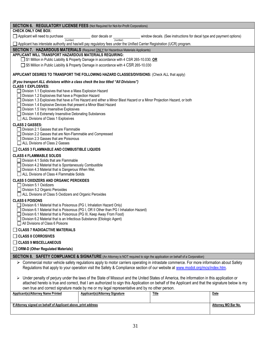| <b>SECTION 6. REGULATORY LICENSE FEES (Not Required for Not-for-Profit Corporations)</b>                                                         |                                                                                                                           |                                                                                                                                           |                     |
|--------------------------------------------------------------------------------------------------------------------------------------------------|---------------------------------------------------------------------------------------------------------------------------|-------------------------------------------------------------------------------------------------------------------------------------------|---------------------|
| <b>CHECK ONLY ONE BOX:</b>                                                                                                                       |                                                                                                                           |                                                                                                                                           |                     |
| Applicant will need to purchase<br>(number)                                                                                                      | door decals or _<br>(number)                                                                                              | window decals. (See instructions for decal type and payment options)                                                                      |                     |
|                                                                                                                                                  | Applicant has interstate authority and has/will pay regulatory fees under the Unified Carrier Registration (UCR) program. |                                                                                                                                           |                     |
| <b>SECTION 7. HAZARDOUS MATERIALS</b> (Required ONLY for Hazardous Materials Applicants)                                                         |                                                                                                                           |                                                                                                                                           |                     |
| APPLICANT WILL TRANSPORT HAZARDOUS MATERIALS REQUIRING:                                                                                          | □ \$1 Million in Public Liability & Property Damage in accordance with 4 CSR 265-10.030; OR                               |                                                                                                                                           |                     |
|                                                                                                                                                  | □ \$5 Million in Public Liability & Property Damage in accordance with 4 CSR 265-10.030                                   |                                                                                                                                           |                     |
|                                                                                                                                                  |                                                                                                                           |                                                                                                                                           |                     |
| APPLICANT DESIRES TO TRANSPORT THE FOLLOWING HAZARD CLASSES/DIVISIONS: (Check ALL that apply)                                                    |                                                                                                                           |                                                                                                                                           |                     |
| (If you transport ALL divisions within a class check the box titled "All Divisions")                                                             |                                                                                                                           |                                                                                                                                           |                     |
| <b>CLASS 1 EXPLOSIVES:</b><br>Division 1.1 Explosives that have a Mass Explosion Hazard                                                          |                                                                                                                           |                                                                                                                                           |                     |
| Division 1.2 Explosives that have a Projection Hazard                                                                                            |                                                                                                                           |                                                                                                                                           |                     |
| Division 1.4 Explosive Devices that present a Minor Blast Hazard                                                                                 | Division 1.3 Explosives that have a Fire Hazard and either a Minor Blast Hazard or a Minor Projection Hazard, or both     |                                                                                                                                           |                     |
| Division 1.5 Very Insensitive Explosives                                                                                                         |                                                                                                                           |                                                                                                                                           |                     |
| Division 1.6 Extremely Insensitive Detonating Substances                                                                                         |                                                                                                                           |                                                                                                                                           |                     |
| ALL Divisions of Class 1 Explosives                                                                                                              |                                                                                                                           |                                                                                                                                           |                     |
| <b>CLASS 2 GASSES:</b><br>Division 2.1 Gasses that are Flammable                                                                                 |                                                                                                                           |                                                                                                                                           |                     |
| Division 2.2 Gasses that are Non-Flammable and Compressed                                                                                        |                                                                                                                           |                                                                                                                                           |                     |
| Division 2.3 Gasses that are Poisonous                                                                                                           |                                                                                                                           |                                                                                                                                           |                     |
| □ ALL Divisions of Class 2 Gasses<br>$\Box$ CLASS 3 FLAMMABLE AND COMBUSTIBLE LIQUIDS                                                            |                                                                                                                           |                                                                                                                                           |                     |
| <b>CLASS 4 FLAMMABLE SOLIDS</b>                                                                                                                  |                                                                                                                           |                                                                                                                                           |                     |
| Division 4.1 Solids that are Flammable                                                                                                           |                                                                                                                           |                                                                                                                                           |                     |
| Division 4.2 Material that is Spontaneously Combustible                                                                                          |                                                                                                                           |                                                                                                                                           |                     |
| Division 4.3 Material that is Dangerous When Wet.<br>ALL Divisions of Class 4 Flammable Solids                                                   |                                                                                                                           |                                                                                                                                           |                     |
| <b>CLASS 5 OXIDIZERS AND ORGANIC PEROXIDES</b>                                                                                                   |                                                                                                                           |                                                                                                                                           |                     |
| Division 5.1 Oxidizers                                                                                                                           |                                                                                                                           |                                                                                                                                           |                     |
| Division 5.2 Organic Peroxides                                                                                                                   |                                                                                                                           |                                                                                                                                           |                     |
| ALL Divisions of Class 5 Oxidizers and Organic Peroxides<br><b>CLASS 6 POISONS</b>                                                               |                                                                                                                           |                                                                                                                                           |                     |
| Division 6.1 Material that is Poisonous (PG I, Inhalation Hazard Only)                                                                           |                                                                                                                           |                                                                                                                                           |                     |
| Division 6.1 Material that is Poisonous (PG I, OR II Other than PG I Inhalation Hazard)                                                          |                                                                                                                           |                                                                                                                                           |                     |
| Division 6.1 Material that is Poisonous (PG III, Keep Away From Food)<br>Division 6.2 Material that is an Infectious Substance (Etiologic Agent) |                                                                                                                           |                                                                                                                                           |                     |
| All Divisions of Class 6 Poisons                                                                                                                 |                                                                                                                           |                                                                                                                                           |                     |
| $\Box$ CLASS 7 RADIOACTIVE MATERIALS                                                                                                             |                                                                                                                           |                                                                                                                                           |                     |
| $\Box$ CLASS 8 CORROSIVES                                                                                                                        |                                                                                                                           |                                                                                                                                           |                     |
| <b>CLASS 9 MISCELLANEOUS</b>                                                                                                                     |                                                                                                                           |                                                                                                                                           |                     |
| <b>ORM-D (Other Regulated Materials)</b>                                                                                                         |                                                                                                                           |                                                                                                                                           |                     |
| SECTION 8. SAFETY COMPLIANCE & SIGNATURE (An Attorney is NOT required to sign the application on behalf of a Corporation)                        |                                                                                                                           |                                                                                                                                           |                     |
|                                                                                                                                                  |                                                                                                                           | > Commercial motor vehicle safety regulations apply to motor carriers operating in intrastate commerce. For more information about Safety |                     |
|                                                                                                                                                  |                                                                                                                           | Regulations that apply to your operation visit the Safety & Compliance section of our website at www.modot.org/mcs/index.htm.             |                     |
| ➤                                                                                                                                                |                                                                                                                           | Under penalty of perjury under the laws of the State of Missouri and the United States of America, the information in this application or |                     |
| attached hereto is true and correct, that I am authorized to sign this Application on behalf of the Applicant and that the signature below is my |                                                                                                                           |                                                                                                                                           |                     |
| own true and correct signature made by me or my legal representative and by no other person.                                                     |                                                                                                                           |                                                                                                                                           |                     |
| <b>Applicant(s)/Attorney Name Printed</b>                                                                                                        | <b>Applicant(s)/Attorney Signature</b>                                                                                    | <b>Title</b>                                                                                                                              | Date                |
| If Attorney signed on behalf of Applicant above, print address                                                                                   |                                                                                                                           |                                                                                                                                           | Attorney MO Bar No. |
|                                                                                                                                                  |                                                                                                                           |                                                                                                                                           |                     |
|                                                                                                                                                  |                                                                                                                           |                                                                                                                                           |                     |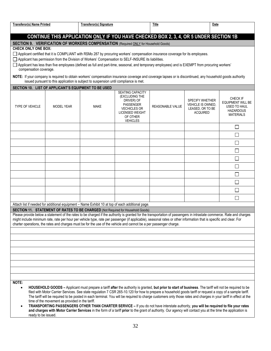| <b>Transferor(s) Name Printed</b>                                                                                                                                                                                                                   |                                                                                                                                                                                                                                          | <b>Transferor(s) Signature</b>                                                                                                                                                                                                                                                                                                                                                                                                                                                                                                                                                                                                                                                                                                                                                                    |                                                                                                                                                      | Title                   | Date                                                                               |                                                                                                     |
|-----------------------------------------------------------------------------------------------------------------------------------------------------------------------------------------------------------------------------------------------------|------------------------------------------------------------------------------------------------------------------------------------------------------------------------------------------------------------------------------------------|---------------------------------------------------------------------------------------------------------------------------------------------------------------------------------------------------------------------------------------------------------------------------------------------------------------------------------------------------------------------------------------------------------------------------------------------------------------------------------------------------------------------------------------------------------------------------------------------------------------------------------------------------------------------------------------------------------------------------------------------------------------------------------------------------|------------------------------------------------------------------------------------------------------------------------------------------------------|-------------------------|------------------------------------------------------------------------------------|-----------------------------------------------------------------------------------------------------|
| CONTINUE THIS APPLICATION ONLY IF YOU HAVE CHECKED BOX 2, 3, 4, OR 5 UNDER SECTION 1B                                                                                                                                                               |                                                                                                                                                                                                                                          |                                                                                                                                                                                                                                                                                                                                                                                                                                                                                                                                                                                                                                                                                                                                                                                                   |                                                                                                                                                      |                         |                                                                                    |                                                                                                     |
| SECTION 9. VERIFICATION OF WORKERS COMPENSATION (Required ONLY for Household Goods)                                                                                                                                                                 |                                                                                                                                                                                                                                          |                                                                                                                                                                                                                                                                                                                                                                                                                                                                                                                                                                                                                                                                                                                                                                                                   |                                                                                                                                                      |                         |                                                                                    |                                                                                                     |
| <b>CHECK ONLY ONE BOX:</b>                                                                                                                                                                                                                          |                                                                                                                                                                                                                                          |                                                                                                                                                                                                                                                                                                                                                                                                                                                                                                                                                                                                                                                                                                                                                                                                   |                                                                                                                                                      |                         |                                                                                    |                                                                                                     |
|                                                                                                                                                                                                                                                     | □ Applicant certified that it is COMPLIANT with RSMo 287 by procuring workers' compensation insurance coverage for its employees.<br>Applicant has permission from the Division of Workers' Compensation to SELF-INSURE its liabilities. |                                                                                                                                                                                                                                                                                                                                                                                                                                                                                                                                                                                                                                                                                                                                                                                                   |                                                                                                                                                      |                         |                                                                                    |                                                                                                     |
|                                                                                                                                                                                                                                                     |                                                                                                                                                                                                                                          |                                                                                                                                                                                                                                                                                                                                                                                                                                                                                                                                                                                                                                                                                                                                                                                                   |                                                                                                                                                      |                         |                                                                                    |                                                                                                     |
| Applicant has less than five employees (defined as full and part-time, seasonal, and temporary employees) and is EXEMPT from procuring workers'<br>compensation coverage.                                                                           |                                                                                                                                                                                                                                          |                                                                                                                                                                                                                                                                                                                                                                                                                                                                                                                                                                                                                                                                                                                                                                                                   |                                                                                                                                                      |                         |                                                                                    |                                                                                                     |
| NOTE: If your company is required to obtain workers' compensation insurance coverage and coverage lapses or is discontinued, any household goods authority<br>issued pursuant to this application is subject to suspension until compliance is met. |                                                                                                                                                                                                                                          |                                                                                                                                                                                                                                                                                                                                                                                                                                                                                                                                                                                                                                                                                                                                                                                                   |                                                                                                                                                      |                         |                                                                                    |                                                                                                     |
|                                                                                                                                                                                                                                                     | SECTION 10. LIST OF APPLICANT'S EQUIPMENT TO BE USED                                                                                                                                                                                     |                                                                                                                                                                                                                                                                                                                                                                                                                                                                                                                                                                                                                                                                                                                                                                                                   |                                                                                                                                                      |                         |                                                                                    |                                                                                                     |
| <b>TYPE OF VEHICLE</b>                                                                                                                                                                                                                              | <b>MODEL YEAR</b>                                                                                                                                                                                                                        | <b>MAKE</b>                                                                                                                                                                                                                                                                                                                                                                                                                                                                                                                                                                                                                                                                                                                                                                                       | SEATING CAPACITY<br>(EXCLUDING THE<br>DRIVER) OF<br><b>PASSENGER</b><br><b>VECHICLES OR</b><br><b>LICENSED WEIGHT</b><br>OF OTHER<br><b>VEHICLES</b> | <b>REASONABLE VALUE</b> | <b>SPECIFY WHETHER</b><br>VEHICLE IS OWNED.<br>LEASED, OR TO BE<br><b>ACQUIRED</b> | <b>CHECK IF</b><br>EQUIPMENT WILL BE<br><b>USED TO HAUL</b><br><b>HAZARDOUS</b><br><b>MATERIALS</b> |
|                                                                                                                                                                                                                                                     |                                                                                                                                                                                                                                          |                                                                                                                                                                                                                                                                                                                                                                                                                                                                                                                                                                                                                                                                                                                                                                                                   |                                                                                                                                                      |                         |                                                                                    | $\Box$                                                                                              |
|                                                                                                                                                                                                                                                     |                                                                                                                                                                                                                                          |                                                                                                                                                                                                                                                                                                                                                                                                                                                                                                                                                                                                                                                                                                                                                                                                   |                                                                                                                                                      |                         |                                                                                    | $\Box$                                                                                              |
|                                                                                                                                                                                                                                                     |                                                                                                                                                                                                                                          |                                                                                                                                                                                                                                                                                                                                                                                                                                                                                                                                                                                                                                                                                                                                                                                                   |                                                                                                                                                      |                         |                                                                                    | $\Box$                                                                                              |
|                                                                                                                                                                                                                                                     |                                                                                                                                                                                                                                          |                                                                                                                                                                                                                                                                                                                                                                                                                                                                                                                                                                                                                                                                                                                                                                                                   |                                                                                                                                                      |                         |                                                                                    | $\Box$                                                                                              |
|                                                                                                                                                                                                                                                     |                                                                                                                                                                                                                                          |                                                                                                                                                                                                                                                                                                                                                                                                                                                                                                                                                                                                                                                                                                                                                                                                   |                                                                                                                                                      |                         |                                                                                    | $\Box$                                                                                              |
|                                                                                                                                                                                                                                                     |                                                                                                                                                                                                                                          |                                                                                                                                                                                                                                                                                                                                                                                                                                                                                                                                                                                                                                                                                                                                                                                                   |                                                                                                                                                      |                         |                                                                                    | П                                                                                                   |
|                                                                                                                                                                                                                                                     |                                                                                                                                                                                                                                          |                                                                                                                                                                                                                                                                                                                                                                                                                                                                                                                                                                                                                                                                                                                                                                                                   |                                                                                                                                                      |                         |                                                                                    | $\Box$                                                                                              |
|                                                                                                                                                                                                                                                     |                                                                                                                                                                                                                                          |                                                                                                                                                                                                                                                                                                                                                                                                                                                                                                                                                                                                                                                                                                                                                                                                   |                                                                                                                                                      |                         |                                                                                    | $\Box$                                                                                              |
|                                                                                                                                                                                                                                                     |                                                                                                                                                                                                                                          |                                                                                                                                                                                                                                                                                                                                                                                                                                                                                                                                                                                                                                                                                                                                                                                                   |                                                                                                                                                      |                         |                                                                                    | $\Box$                                                                                              |
|                                                                                                                                                                                                                                                     |                                                                                                                                                                                                                                          |                                                                                                                                                                                                                                                                                                                                                                                                                                                                                                                                                                                                                                                                                                                                                                                                   |                                                                                                                                                      |                         |                                                                                    | $\Box$                                                                                              |
|                                                                                                                                                                                                                                                     |                                                                                                                                                                                                                                          | Attach list if needed for additional equipment - Name Exhibit 10 at top of each additional page.                                                                                                                                                                                                                                                                                                                                                                                                                                                                                                                                                                                                                                                                                                  |                                                                                                                                                      |                         |                                                                                    |                                                                                                     |
|                                                                                                                                                                                                                                                     |                                                                                                                                                                                                                                          | SECTION 11. STATEMENT OF RATES TO BE CHARGED (Not Required for Household Goods)<br>Please provide below a statement of the rates to be charged if the authority is granted for the transportation of passengers in intrastate commerce. Rate and charges                                                                                                                                                                                                                                                                                                                                                                                                                                                                                                                                          |                                                                                                                                                      |                         |                                                                                    |                                                                                                     |
|                                                                                                                                                                                                                                                     |                                                                                                                                                                                                                                          | might include minimum rate, rate per hour per vehicle type, rate per passenger (if applicable), seasonal rates or other information that is specific and clear. For<br>charter operations, the rates and charges must be for the use of the vehicle and cannot be a per passenger charge.                                                                                                                                                                                                                                                                                                                                                                                                                                                                                                         |                                                                                                                                                      |                         |                                                                                    |                                                                                                     |
|                                                                                                                                                                                                                                                     |                                                                                                                                                                                                                                          |                                                                                                                                                                                                                                                                                                                                                                                                                                                                                                                                                                                                                                                                                                                                                                                                   |                                                                                                                                                      |                         |                                                                                    |                                                                                                     |
|                                                                                                                                                                                                                                                     |                                                                                                                                                                                                                                          |                                                                                                                                                                                                                                                                                                                                                                                                                                                                                                                                                                                                                                                                                                                                                                                                   |                                                                                                                                                      |                         |                                                                                    |                                                                                                     |
|                                                                                                                                                                                                                                                     |                                                                                                                                                                                                                                          |                                                                                                                                                                                                                                                                                                                                                                                                                                                                                                                                                                                                                                                                                                                                                                                                   |                                                                                                                                                      |                         |                                                                                    |                                                                                                     |
|                                                                                                                                                                                                                                                     |                                                                                                                                                                                                                                          |                                                                                                                                                                                                                                                                                                                                                                                                                                                                                                                                                                                                                                                                                                                                                                                                   |                                                                                                                                                      |                         |                                                                                    |                                                                                                     |
|                                                                                                                                                                                                                                                     |                                                                                                                                                                                                                                          |                                                                                                                                                                                                                                                                                                                                                                                                                                                                                                                                                                                                                                                                                                                                                                                                   |                                                                                                                                                      |                         |                                                                                    |                                                                                                     |
|                                                                                                                                                                                                                                                     |                                                                                                                                                                                                                                          |                                                                                                                                                                                                                                                                                                                                                                                                                                                                                                                                                                                                                                                                                                                                                                                                   |                                                                                                                                                      |                         |                                                                                    |                                                                                                     |
|                                                                                                                                                                                                                                                     |                                                                                                                                                                                                                                          |                                                                                                                                                                                                                                                                                                                                                                                                                                                                                                                                                                                                                                                                                                                                                                                                   |                                                                                                                                                      |                         |                                                                                    |                                                                                                     |
|                                                                                                                                                                                                                                                     |                                                                                                                                                                                                                                          |                                                                                                                                                                                                                                                                                                                                                                                                                                                                                                                                                                                                                                                                                                                                                                                                   |                                                                                                                                                      |                         |                                                                                    |                                                                                                     |
| NOTE:<br>$\bullet$<br>$\bullet$<br>ready to be issued.                                                                                                                                                                                              | time of the movement as provided in the tariff.                                                                                                                                                                                          | HOUSEHOLD GOODS - Applicant must prepare a tariff after the authority is granted, but prior to start of business. The tariff will not be required to be<br>filed with Motor Carrier Services. See state regulation 7 CSR 265-10.120 for how to prepare a household goods tariff or request a copy of a sample tariff.<br>The tariff will be required to be posted in each terminal. You will be required to charge customers only those rates and charges in your tariff in effect at the<br>TRANSPORTING PASSENGERS OTHER THAN CHARTER SERVICE - If you do not have interstate authority, you will be required to file your rates<br>and charges with Motor Carrier Services in the form of a tariff prior to the grant of authority. Our agency will contact you at the time the application is |                                                                                                                                                      |                         |                                                                                    |                                                                                                     |